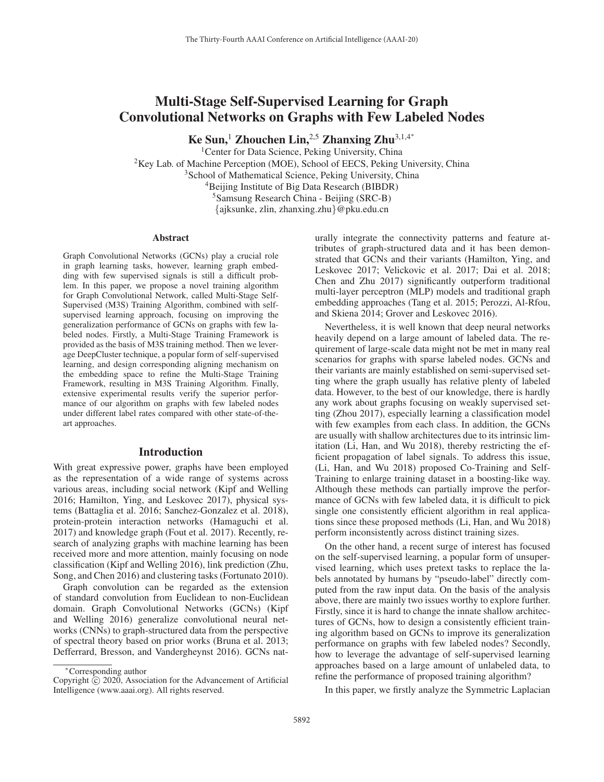# Multi-Stage Self-Supervised Learning for Graph Convolutional Networks on Graphs with Few Labeled Nodes

Ke Sun,<sup>1</sup> Zhouchen Lin,<sup>2,5</sup> Zhanxing Zhu<sup>3,1,4</sup><sup>\*</sup>

<sup>1</sup>Center for Data Science, Peking University, China  ${}^{2}$ Key Lab. of Machine Perception (MOE), School of EECS, Peking University, China <sup>3</sup>School of Mathematical Science, Peking University, China 4Beijing Institute of Big Data Research (BIBDR) 5Samsung Research China - Beijing (SRC-B) {ajksunke, zlin, zhanxing.zhu}@pku.edu.cn

#### **Abstract**

Graph Convolutional Networks (GCNs) play a crucial role in graph learning tasks, however, learning graph embedding with few supervised signals is still a difficult problem. In this paper, we propose a novel training algorithm for Graph Convolutional Network, called Multi-Stage Self-Supervised (M3S) Training Algorithm, combined with selfsupervised learning approach, focusing on improving the generalization performance of GCNs on graphs with few labeled nodes. Firstly, a Multi-Stage Training Framework is provided as the basis of M3S training method. Then we leverage DeepCluster technique, a popular form of self-supervised learning, and design corresponding aligning mechanism on the embedding space to refine the Multi-Stage Training Framework, resulting in M3S Training Algorithm. Finally, extensive experimental results verify the superior performance of our algorithm on graphs with few labeled nodes under different label rates compared with other state-of-theart approaches.

#### Introduction

With great expressive power, graphs have been employed as the representation of a wide range of systems across various areas, including social network (Kipf and Welling 2016; Hamilton, Ying, and Leskovec 2017), physical systems (Battaglia et al. 2016; Sanchez-Gonzalez et al. 2018), protein-protein interaction networks (Hamaguchi et al. 2017) and knowledge graph (Fout et al. 2017). Recently, research of analyzing graphs with machine learning has been received more and more attention, mainly focusing on node classification (Kipf and Welling 2016), link prediction (Zhu, Song, and Chen 2016) and clustering tasks (Fortunato 2010).

Graph convolution can be regarded as the extension of standard convolution from Euclidean to non-Euclidean domain. Graph Convolutional Networks (GCNs) (Kipf and Welling 2016) generalize convolutional neural networks (CNNs) to graph-structured data from the perspective of spectral theory based on prior works (Bruna et al. 2013; Defferrard, Bresson, and Vandergheynst 2016). GCNs naturally integrate the connectivity patterns and feature attributes of graph-structured data and it has been demonstrated that GCNs and their variants (Hamilton, Ying, and Leskovec 2017; Velickovic et al. 2017; Dai et al. 2018; Chen and Zhu 2017) significantly outperform traditional multi-layer perceptron (MLP) models and traditional graph embedding approaches (Tang et al. 2015; Perozzi, Al-Rfou, and Skiena 2014; Grover and Leskovec 2016).

Nevertheless, it is well known that deep neural networks heavily depend on a large amount of labeled data. The requirement of large-scale data might not be met in many real scenarios for graphs with sparse labeled nodes. GCNs and their variants are mainly established on semi-supervised setting where the graph usually has relative plenty of labeled data. However, to the best of our knowledge, there is hardly any work about graphs focusing on weakly supervised setting (Zhou 2017), especially learning a classification model with few examples from each class. In addition, the GCNs are usually with shallow architectures due to its intrinsic limitation (Li, Han, and Wu 2018), thereby restricting the efficient propagation of label signals. To address this issue, (Li, Han, and Wu 2018) proposed Co-Training and Self-Training to enlarge training dataset in a boosting-like way. Although these methods can partially improve the performance of GCNs with few labeled data, it is difficult to pick single one consistently efficient algorithm in real applications since these proposed methods (Li, Han, and Wu 2018) perform inconsistently across distinct training sizes.

On the other hand, a recent surge of interest has focused on the self-supervised learning, a popular form of unsupervised learning, which uses pretext tasks to replace the labels annotated by humans by "pseudo-label" directly computed from the raw input data. On the basis of the analysis above, there are mainly two issues worthy to explore further. Firstly, since it is hard to change the innate shallow architectures of GCNs, how to design a consistently efficient training algorithm based on GCNs to improve its generalization performance on graphs with few labeled nodes? Secondly, how to leverage the advantage of self-supervised learning approaches based on a large amount of unlabeled data, to refine the performance of proposed training algorithm?

In this paper, we firstly analyze the Symmetric Laplacian

<sup>∗</sup>Corresponding author

Copyright  $\odot$  2020, Association for the Advancement of Artificial Intelligence (www.aaai.org). All rights reserved.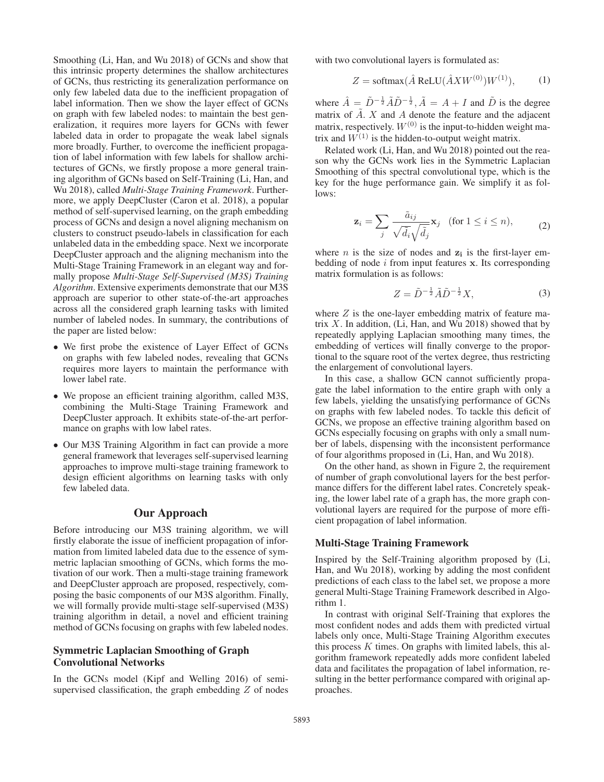Smoothing (Li, Han, and Wu 2018) of GCNs and show that this intrinsic property determines the shallow architectures of GCNs, thus restricting its generalization performance on only few labeled data due to the inefficient propagation of label information. Then we show the layer effect of GCNs on graph with few labeled nodes: to maintain the best generalization, it requires more layers for GCNs with fewer labeled data in order to propagate the weak label signals more broadly. Further, to overcome the inefficient propagation of label information with few labels for shallow architectures of GCNs, we firstly propose a more general training algorithm of GCNs based on Self-Training (Li, Han, and Wu 2018), called *Multi-Stage Training Framework*. Furthermore, we apply DeepCluster (Caron et al. 2018), a popular method of self-supervised learning, on the graph embedding process of GCNs and design a novel aligning mechanism on clusters to construct pseudo-labels in classification for each unlabeled data in the embedding space. Next we incorporate DeepCluster approach and the aligning mechanism into the Multi-Stage Training Framework in an elegant way and formally propose *Multi-Stage Self-Supervised (M3S) Training Algorithm*. Extensive experiments demonstrate that our M3S approach are superior to other state-of-the-art approaches across all the considered graph learning tasks with limited number of labeled nodes. In summary, the contributions of the paper are listed below:

- We first probe the existence of Layer Effect of GCNs on graphs with few labeled nodes, revealing that GCNs requires more layers to maintain the performance with lower label rate.
- We propose an efficient training algorithm, called M3S, combining the Multi-Stage Training Framework and DeepCluster approach. It exhibits state-of-the-art performance on graphs with low label rates.
- Our M3S Training Algorithm in fact can provide a more general framework that leverages self-supervised learning approaches to improve multi-stage training framework to design efficient algorithms on learning tasks with only few labeled data.

## Our Approach

Before introducing our M3S training algorithm, we will firstly elaborate the issue of inefficient propagation of information from limited labeled data due to the essence of symmetric laplacian smoothing of GCNs, which forms the motivation of our work. Then a multi-stage training framework and DeepCluster approach are proposed, respectively, composing the basic components of our M3S algorithm. Finally, we will formally provide multi-stage self-supervised (M3S) training algorithm in detail, a novel and efficient training method of GCNs focusing on graphs with few labeled nodes.

# Symmetric Laplacian Smoothing of Graph Convolutional Networks

In the GCNs model (Kipf and Welling 2016) of semisupervised classification, the graph embedding  $Z$  of nodes with two convolutional layers is formulated as:

$$
Z = \text{softmax}(\hat{A} \text{ReLU}(\hat{A}XW^{(0)})W^{(1)}), \quad (1)
$$

where  $\hat{A} = \tilde{D}^{-\frac{1}{2}} \tilde{A} \tilde{D}^{-\frac{1}{2}}, \tilde{A} = A + I$  and  $\tilde{D}$  is the degree matrix of  $\tilde{A}$ . X and A denote the feature and the adiacent matrix of  $\tilde{A}$ . X and A denote the feature and the adjacent matrix, respectively.  $W^{(0)}$  is the input-to-hidden weight matrix and  $W^{(1)}$  is the hidden-to-output weight matrix.

Related work (Li, Han, and Wu 2018) pointed out the reason why the GCNs work lies in the Symmetric Laplacian Smoothing of this spectral convolutional type, which is the key for the huge performance gain. We simplify it as follows:

$$
\mathbf{z}_{i} = \sum_{j} \frac{\tilde{a}_{ij}}{\sqrt{\tilde{d}_{i}} \sqrt{\tilde{d}_{j}}} \mathbf{x}_{j} \quad \text{(for } 1 \leq i \leq n), \tag{2}
$$

where *n* is the size of nodes and  $z_i$  is the first-layer embedding of node i from input features **x**. Its corresponding matrix formulation is as follows:

$$
Z = \tilde{D}^{-\frac{1}{2}} \tilde{A} \tilde{D}^{-\frac{1}{2}} X,\tag{3}
$$

where  $Z$  is the one-layer embedding matrix of feature matrix  $X$ . In addition, (Li, Han, and Wu 2018) showed that by repeatedly applying Laplacian smoothing many times, the embedding of vertices will finally converge to the proportional to the square root of the vertex degree, thus restricting the enlargement of convolutional layers.

In this case, a shallow GCN cannot sufficiently propagate the label information to the entire graph with only a few labels, yielding the unsatisfying performance of GCNs on graphs with few labeled nodes. To tackle this deficit of GCNs, we propose an effective training algorithm based on GCNs especially focusing on graphs with only a small number of labels, dispensing with the inconsistent performance of four algorithms proposed in (Li, Han, and Wu 2018).

On the other hand, as shown in Figure 2, the requirement of number of graph convolutional layers for the best performance differs for the different label rates. Concretely speaking, the lower label rate of a graph has, the more graph convolutional layers are required for the purpose of more efficient propagation of label information.

## Multi-Stage Training Framework

Inspired by the Self-Training algorithm proposed by (Li, Han, and Wu 2018), working by adding the most confident predictions of each class to the label set, we propose a more general Multi-Stage Training Framework described in Algorithm 1.

In contrast with original Self-Training that explores the most confident nodes and adds them with predicted virtual labels only once, Multi-Stage Training Algorithm executes this process  $K$  times. On graphs with limited labels, this algorithm framework repeatedly adds more confident labeled data and facilitates the propagation of label information, resulting in the better performance compared with original approaches.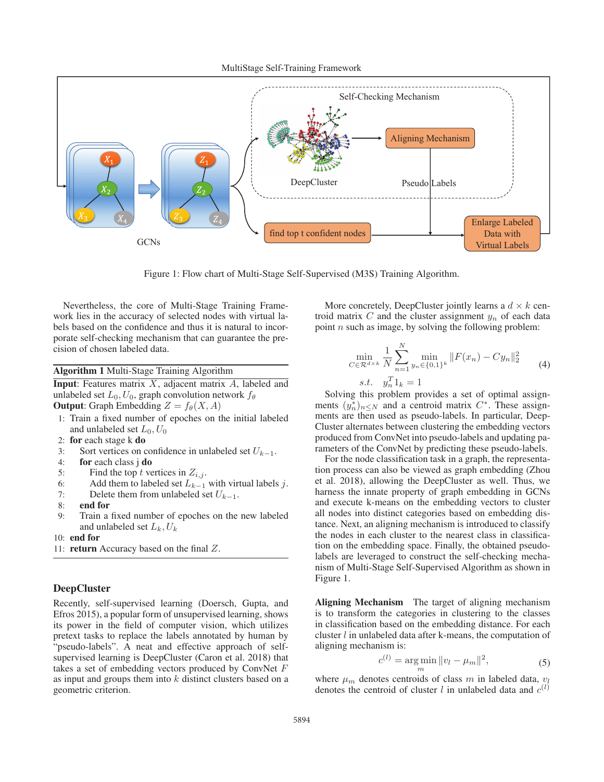MultiStage Self-Training Framework



Figure 1: Flow chart of Multi-Stage Self-Supervised (M3S) Training Algorithm.

Nevertheless, the core of Multi-Stage Training Framework lies in the accuracy of selected nodes with virtual labels based on the confidence and thus it is natural to incorporate self-checking mechanism that can guarantee the precision of chosen labeled data.

Algorithm 1 Multi-Stage Training Algorithm

**Input:** Features matrix  $X$ , adjacent matrix  $A$ , labeled and unlabeled set  $L_0$ ,  $U_0$ , graph convolution network  $f_\theta$ **Output:** Graph Embedding  $Z = f_{\theta}(X, A)$ 

- 1: Train a fixed number of epoches on the initial labeled and unlabeled set  $L_0$ ,  $U_0$
- 2: for each stage k do
- 3: Sort vertices on confidence in unlabeled set  $U_{k-1}$ .
- 4: for each class j do
- 5: Find the top t vertices in  $Z_{i,j}$ .
- 6: Add them to labeled set  $L_{k-1}$  with virtual labels j.
- 7: Delete them from unlabeled set  $U_{k-1}$ .<br>8: **end for**
- end for
- 9: Train a fixed number of epoches on the new labeled and unlabeled set  $L_k$ ,  $U_k$
- 10: end for
- 11: return Accuracy based on the final Z.

#### DeepCluster

Recently, self-supervised learning (Doersch, Gupta, and Efros 2015), a popular form of unsupervised learning, shows its power in the field of computer vision, which utilizes pretext tasks to replace the labels annotated by human by "pseudo-labels". A neat and effective approach of selfsupervised learning is DeepCluster (Caron et al. 2018) that takes a set of embedding vectors produced by ConvNet F as input and groups them into  $k$  distinct clusters based on a geometric criterion.

More concretely, DeepCluster jointly learns a  $d \times k$  centroid matrix  $C$  and the cluster assignment  $y_n$  of each data point  $n$  such as image, by solving the following problem:

$$
\min_{C \in \mathcal{R}^{d \times k}} \frac{1}{N} \sum_{n=1}^{N} \min_{y_n \in \{0,1\}^k} \|F(x_n) - Cy_n\|_2^2
$$
\n
$$
s.t. \quad y_n^T 1_k = 1
$$
\n(4)

S.t.  $y_n 1_k = 1$ <br>Solving this problem provides a set of optimal assignments  $(y_n^*)_{n \leq N}$  and a centroid matrix  $C^*$ . These assignments are then used as pseudo-labels. In particular Deenments are then used as pseudo-labels. In particular, Deep-Cluster alternates between clustering the embedding vectors produced from ConvNet into pseudo-labels and updating parameters of the ConvNet by predicting these pseudo-labels.

For the node classification task in a graph, the representation process can also be viewed as graph embedding (Zhou et al. 2018), allowing the DeepCluster as well. Thus, we harness the innate property of graph embedding in GCNs and execute k-means on the embedding vectors to cluster all nodes into distinct categories based on embedding distance. Next, an aligning mechanism is introduced to classify the nodes in each cluster to the nearest class in classification on the embedding space. Finally, the obtained pseudolabels are leveraged to construct the self-checking mechanism of Multi-Stage Self-Supervised Algorithm as shown in Figure 1.

Aligning Mechanism The target of aligning mechanism is to transform the categories in clustering to the classes in classification based on the embedding distance. For each cluster l in unlabeled data after k-means, the computation of aligning mechanism is:

$$
c^{(l)} = \underset{m}{\arg\min} \|v_l - \mu_m\|^2, \tag{5}
$$

where  $\mu_m$  denotes centroids of class m in labeled data,  $v_l$ denotes the centroid of cluster l in unlabeled data and  $c^{(l)}$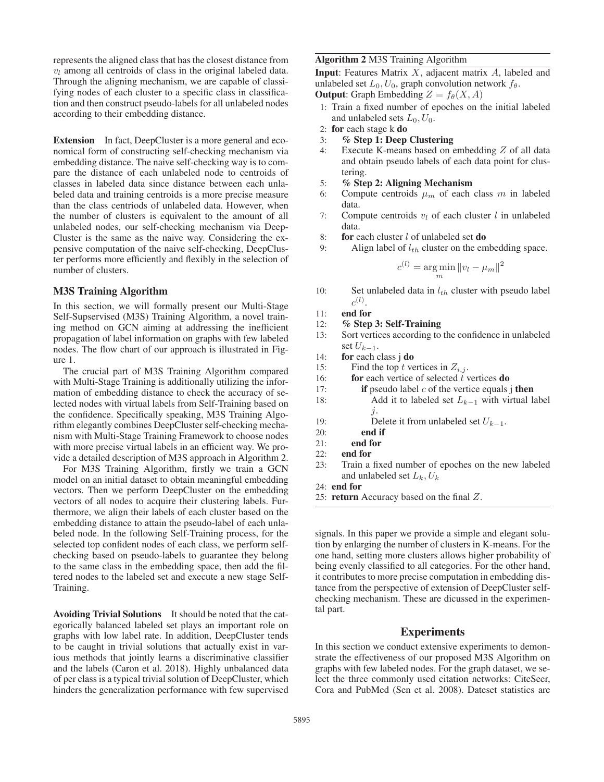represents the aligned class that has the closest distance from  $v_l$  among all centroids of class in the original labeled data. Through the aligning mechanism, we are capable of classifying nodes of each cluster to a specific class in classification and then construct pseudo-labels for all unlabeled nodes according to their embedding distance.

Extension In fact, DeepCluster is a more general and economical form of constructing self-checking mechanism via embedding distance. The naive self-checking way is to compare the distance of each unlabeled node to centroids of classes in labeled data since distance between each unlabeled data and training centroids is a more precise measure than the class centriods of unlabeled data. However, when the number of clusters is equivalent to the amount of all unlabeled nodes, our self-checking mechanism via Deep-Cluster is the same as the naive way. Considering the expensive computation of the naive self-checking, DeepCluster performs more efficiently and flexibly in the selection of number of clusters.

#### M3S Training Algorithm

In this section, we will formally present our Multi-Stage Self-Supservised (M3S) Training Algorithm, a novel training method on GCN aiming at addressing the inefficient propagation of label information on graphs with few labeled nodes. The flow chart of our approach is illustrated in Figure 1.

The crucial part of M3S Training Algorithm compared with Multi-Stage Training is additionally utilizing the information of embedding distance to check the accuracy of selected nodes with virtual labels from Self-Training based on the confidence. Specifically speaking, M3S Training Algorithm elegantly combines DeepCluster self-checking mechanism with Multi-Stage Training Framework to choose nodes with more precise virtual labels in an efficient way. We provide a detailed description of M3S approach in Algorithm 2.

For M3S Training Algorithm, firstly we train a GCN model on an initial dataset to obtain meaningful embedding vectors. Then we perform DeepCluster on the embedding vectors of all nodes to acquire their clustering labels. Furthermore, we align their labels of each cluster based on the embedding distance to attain the pseudo-label of each unlabeled node. In the following Self-Training process, for the selected top confident nodes of each class, we perform selfchecking based on pseudo-labels to guarantee they belong to the same class in the embedding space, then add the filtered nodes to the labeled set and execute a new stage Self-Training.

Avoiding Trivial Solutions It should be noted that the categorically balanced labeled set plays an important role on graphs with low label rate. In addition, DeepCluster tends to be caught in trivial solutions that actually exist in various methods that jointly learns a discriminative classifier and the labels (Caron et al. 2018). Highly unbalanced data of per class is a typical trivial solution of DeepCluster, which hinders the generalization performance with few supervised

#### Algorithm 2 M3S Training Algorithm

**Input:** Features Matrix  $X$ , adjacent matrix  $A$ , labeled and unlabeled set  $L_0$ ,  $U_0$ , graph convolution network  $f_\theta$ . **Output:** Graph Embedding  $Z = f_{\theta}(X, A)$ 

- 1: Train a fixed number of epoches on the initial labeled and unlabeled sets  $L_0$ ,  $U_0$ .
- 2: for each stage k do
- 3: % Step 1: Deep Clustering
- 4: Execute K-means based on embedding Z of all data and obtain pseudo labels of each data point for clustering.
- 5: % Step 2: Aligning Mechanism
- 6: Compute centroids  $\mu_m$  of each class m in labeled data.
- 7: Compute centroids  $v_l$  of each cluster l in unlabeled data.
- 8: for each cluster  $l$  of unlabeled set **do**
- 9: Align label of  $l_{th}$  cluster on the embedding space.

$$
c^{(l)} = \underset{m}{\arg\min} \|v_l - \mu_m\|^2
$$

- 10: Set unlabeled data in  $l_{th}$  cluster with pseudo label  $c^{(l)}$ .
- 11: end for
- 12: % Step 3: Self-Training
- 13: Sort vertices according to the confidence in unlabeled set  $U_{k-1}$ .
- 14: for each class j do
- 15: Find the top t vertices in  $Z_{i,j}$ .
- 16: **for** each vertice of selected  $\tilde{t}$  vertices **do**
- 17: **if** pseudo label  $c$  of the vertice equals j **then**
- 18: Add it to labeled set  $L_{k-1}$  with virtual label j.
- 19: Delete it from unlabeled set  $U_{k-1}$ .
- 20: end if
- 21: end for
- 22: end for
- 23: Train a fixed number of epoches on the new labeled and unlabeled set  $L_k, U_k$
- 24: end for
- 25: return Accuracy based on the final Z.

signals. In this paper we provide a simple and elegant solution by enlarging the number of clusters in K-means. For the one hand, setting more clusters allows higher probability of being evenly classified to all categories. For the other hand, it contributes to more precise computation in embedding distance from the perspective of extension of DeepCluster selfchecking mechanism. These are dicussed in the experimental part.

#### Experiments

In this section we conduct extensive experiments to demonstrate the effectiveness of our proposed M3S Algorithm on graphs with few labeled nodes. For the graph dataset, we select the three commonly used citation networks: CiteSeer, Cora and PubMed (Sen et al. 2008). Dateset statistics are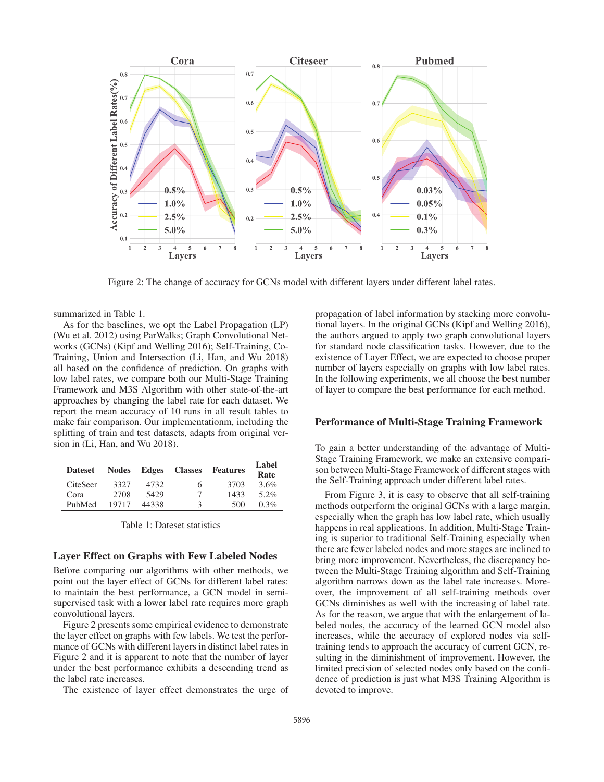

Figure 2: The change of accuracy for GCNs model with different layers under different label rates.

summarized in Table 1.

As for the baselines, we opt the Label Propagation (LP) (Wu et al. 2012) using ParWalks; Graph Convolutional Networks (GCNs) (Kipf and Welling 2016); Self-Training, Co-Training, Union and Intersection (Li, Han, and Wu 2018) all based on the confidence of prediction. On graphs with low label rates, we compare both our Multi-Stage Training Framework and M3S Algorithm with other state-of-the-art approaches by changing the label rate for each dataset. We report the mean accuracy of 10 runs in all result tables to make fair comparison. Our implementationm, including the splitting of train and test datasets, adapts from original version in (Li, Han, and Wu 2018).

| <b>Dateset</b>  | <b>Nodes</b> | Edges | <b>Classes</b> | Features | Label<br>Rate |
|-----------------|--------------|-------|----------------|----------|---------------|
| <b>CiteSeer</b> | 3327         | 4732. | 6              | 3703     | 3.6%          |
| Cora            | 2708         | 5429  | 7              | 1433     | $5.2\%$       |
| PubMed          | 19717        | 44338 | κ              | 500      | $0.3\%$       |

Table 1: Dateset statistics

#### Layer Effect on Graphs with Few Labeled Nodes

Before comparing our algorithms with other methods, we point out the layer effect of GCNs for different label rates: to maintain the best performance, a GCN model in semisupervised task with a lower label rate requires more graph convolutional layers.

Figure 2 presents some empirical evidence to demonstrate the layer effect on graphs with few labels. We test the performance of GCNs with different layers in distinct label rates in Figure 2 and it is apparent to note that the number of layer under the best performance exhibits a descending trend as the label rate increases.

The existence of layer effect demonstrates the urge of

propagation of label information by stacking more convolutional layers. In the original GCNs (Kipf and Welling 2016), the authors argued to apply two graph convolutional layers for standard node classification tasks. However, due to the existence of Layer Effect, we are expected to choose proper number of layers especially on graphs with low label rates. In the following experiments, we all choose the best number of layer to compare the best performance for each method.

## Performance of Multi-Stage Training Framework

To gain a better understanding of the advantage of Multi-Stage Training Framework, we make an extensive comparison between Multi-Stage Framework of different stages with the Self-Training approach under different label rates.

From Figure 3, it is easy to observe that all self-training methods outperform the original GCNs with a large margin, especially when the graph has low label rate, which usually happens in real applications. In addition, Multi-Stage Training is superior to traditional Self-Training especially when there are fewer labeled nodes and more stages are inclined to bring more improvement. Nevertheless, the discrepancy between the Multi-Stage Training algorithm and Self-Training algorithm narrows down as the label rate increases. Moreover, the improvement of all self-training methods over GCNs diminishes as well with the increasing of label rate. As for the reason, we argue that with the enlargement of labeled nodes, the accuracy of the learned GCN model also increases, while the accuracy of explored nodes via selftraining tends to approach the accuracy of current GCN, resulting in the diminishment of improvement. However, the limited precision of selected nodes only based on the confidence of prediction is just what M3S Training Algorithm is devoted to improve.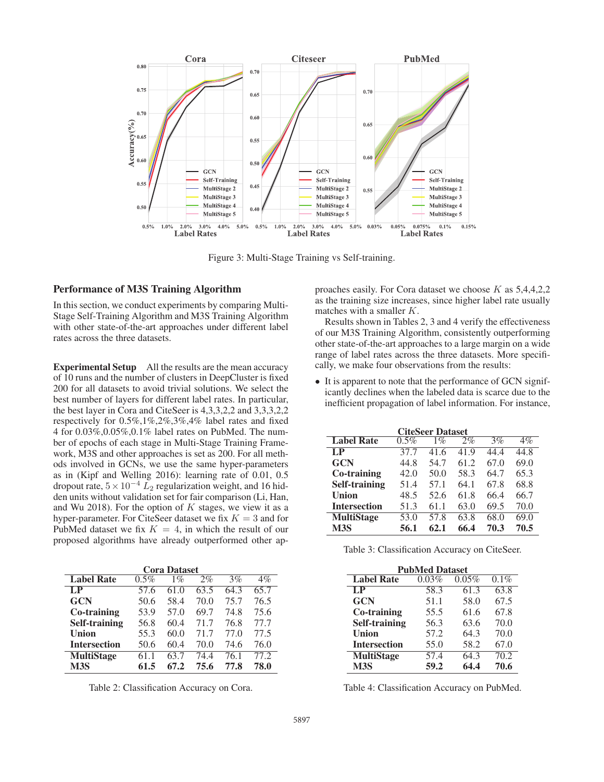

Figure 3: Multi-Stage Training vs Self-training.

## Performance of M3S Training Algorithm

In this section, we conduct experiments by comparing Multi-Stage Self-Training Algorithm and M3S Training Algorithm with other state-of-the-art approaches under different label rates across the three datasets.

Experimental Setup All the results are the mean accuracy of 10 runs and the number of clusters in DeepCluster is fixed 200 for all datasets to avoid trivial solutions. We select the best number of layers for different label rates. In particular, the best layer in Cora and CiteSeer is 4,3,3,2,2 and 3,3,3,2,2 respectively for 0.5%,1%,2%,3%,4% label rates and fixed 4 for 0.03%,0.05%,0.1% label rates on PubMed. The number of epochs of each stage in Multi-Stage Training Framework, M3S and other approaches is set as 200. For all methods involved in GCNs, we use the same hyper-parameters as in (Kipf and Welling 2016): learning rate of 0.01, 0.5 dropout rate,  $5 \times 10^{-4} L_2$  regularization weight, and 16 hidden units without validation set for fair comparison (Li, Han, and Wu 2018). For the option of  $K$  stages, we view it as a hyper-parameter. For CiteSeer dataset we fix  $K = 3$  and for PubMed dataset we fix  $K = 4$ , in which the result of our proposed algorithms have already outperformed other ap-

| <b>Cora Dataset</b>  |      |       |       |      |       |
|----------------------|------|-------|-------|------|-------|
| <b>Label Rate</b>    | 0.5% | $1\%$ | $2\%$ | 3%   | $4\%$ |
| $L_{\rm P}$          | 57.6 | 61.0  | 63.5  | 64.3 | 65.7  |
| <b>GCN</b>           | 50.6 | 58.4  | 70.0  | 75.7 | 76.5  |
| Co-training          | 53.9 | 57.0  | 69.7  | 74.8 | 75.6  |
| <b>Self-training</b> | 56.8 | 60.4  | 71.7  | 76.8 | 77.7  |
| Union                | 55.3 | 60.0  | 71.7  | 77.0 | 77.5  |
| <b>Intersection</b>  | 50.6 | 60.4  | 70.0  | 74.6 | 76.0  |
| <b>MultiStage</b>    | 61.1 | 63.7  | 74.4  | 76.1 | 77.2  |
| M <sub>3</sub> S     | 61.5 | 67.2  | 75.6  | 77.8 | 78.0  |

Table 2: Classification Accuracy on Cora.

proaches easily. For Cora dataset we choose K as 5,4,4,2,2 as the training size increases, since higher label rate usually matches with a smaller K.

Results shown in Tables 2, 3 and 4 verify the effectiveness of our M3S Training Algorithm, consistently outperforming other state-of-the-art approaches to a large margin on a wide range of label rates across the three datasets. More specifically, we make four observations from the results:

• It is apparent to note that the performance of GCN significantly declines when the labeled data is scarce due to the inefficient propagation of label information. For instance,

| <b>CiteSeer Dataset</b> |         |       |      |      |       |
|-------------------------|---------|-------|------|------|-------|
| <b>Label Rate</b>       | $0.5\%$ | $1\%$ | 2%   | 3%   | $4\%$ |
| LP                      | 37.7    | 41.6  | 41.9 | 44.4 | 44.8  |
| <b>GCN</b>              | 44.8    | 54.7  | 61.2 | 67.0 | 69.0  |
| Co-training             | 42.0    | 50.0  | 58.3 | 64.7 | 65.3  |
| <b>Self-training</b>    | 51.4    | 57.1  | 64.1 | 67.8 | 68.8  |
| Union                   | 48.5    | 52.6  | 61.8 | 66.4 | 66.7  |
| <b>Intersection</b>     | 51.3    | 61.1  | 63.0 | 69.5 | 70.0  |
| <b>MultiStage</b>       | 53.0    | 57.8  | 63.8 | 68.0 | 69.0  |
| M <sub>3S</sub>         | 56.1    | 62.1  | 66.4 | 70.3 | 70.5  |

| Table 3: Classification Accuracy on CiteSeer. |  |
|-----------------------------------------------|--|
|-----------------------------------------------|--|

| <b>PubMed Dataset</b> |       |       |         |  |
|-----------------------|-------|-------|---------|--|
| <b>Label Rate</b>     | 0.03% | 0.05% | $0.1\%$ |  |
| $L_{\rm P}$           | 58.3  | 61.3  | 63.8    |  |
| <b>GCN</b>            | 51.1  | 58.0  | 67.5    |  |
| Co-training           | 55.5  | 61.6  | 67.8    |  |
| <b>Self-training</b>  | 56.3  | 63.6  | 70.0    |  |
| Union                 | 57.2  | 64.3  | 70.0    |  |
| <b>Intersection</b>   | 55.0  | 58.2  | 67.0    |  |
| <b>MultiStage</b>     | 57.4  | 64.3  | 70.2    |  |
| M <sub>3S</sub>       | 59.2  | 64.4  | 70.6    |  |

Table 4: Classification Accuracy on PubMed.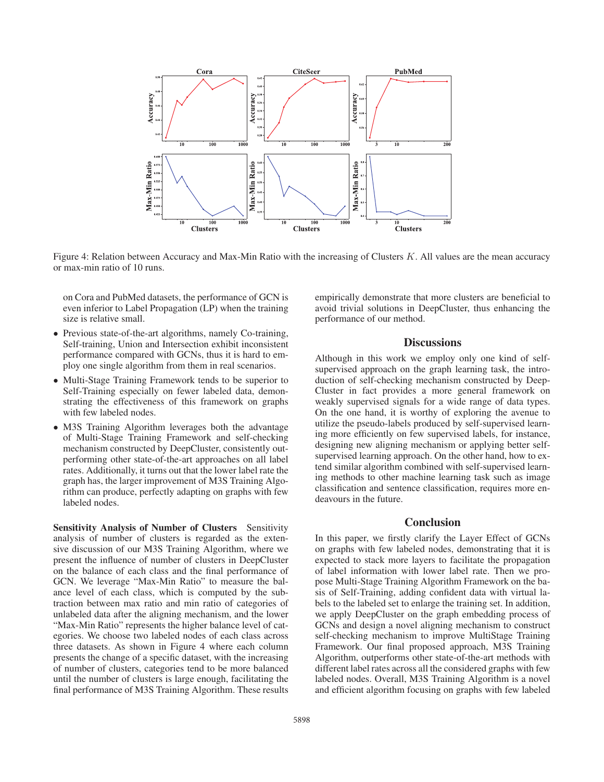

Figure 4: Relation between Accuracy and Max-Min Ratio with the increasing of Clusters K. All values are the mean accuracy or max-min ratio of 10 runs.

on Cora and PubMed datasets, the performance of GCN is even inferior to Label Propagation (LP) when the training size is relative small.

- Previous state-of-the-art algorithms, namely Co-training, Self-training, Union and Intersection exhibit inconsistent performance compared with GCNs, thus it is hard to employ one single algorithm from them in real scenarios.
- Multi-Stage Training Framework tends to be superior to Self-Training especially on fewer labeled data, demonstrating the effectiveness of this framework on graphs with few labeled nodes.
- M3S Training Algorithm leverages both the advantage of Multi-Stage Training Framework and self-checking mechanism constructed by DeepCluster, consistently outperforming other state-of-the-art approaches on all label rates. Additionally, it turns out that the lower label rate the graph has, the larger improvement of M3S Training Algorithm can produce, perfectly adapting on graphs with few labeled nodes.

Sensitivity Analysis of Number of Clusters Sensitivity analysis of number of clusters is regarded as the extensive discussion of our M3S Training Algorithm, where we present the influence of number of clusters in DeepCluster on the balance of each class and the final performance of GCN. We leverage "Max-Min Ratio" to measure the balance level of each class, which is computed by the subtraction between max ratio and min ratio of categories of unlabeled data after the aligning mechanism, and the lower "Max-Min Ratio" represents the higher balance level of categories. We choose two labeled nodes of each class across three datasets. As shown in Figure 4 where each column presents the change of a specific dataset, with the increasing of number of clusters, categories tend to be more balanced until the number of clusters is large enough, facilitating the final performance of M3S Training Algorithm. These results

empirically demonstrate that more clusters are beneficial to avoid trivial solutions in DeepCluster, thus enhancing the performance of our method.

# **Discussions**

Although in this work we employ only one kind of selfsupervised approach on the graph learning task, the introduction of self-checking mechanism constructed by Deep-Cluster in fact provides a more general framework on weakly supervised signals for a wide range of data types. On the one hand, it is worthy of exploring the avenue to utilize the pseudo-labels produced by self-supervised learning more efficiently on few supervised labels, for instance, designing new aligning mechanism or applying better selfsupervised learning approach. On the other hand, how to extend similar algorithm combined with self-supervised learning methods to other machine learning task such as image classification and sentence classification, requires more endeavours in the future.

### **Conclusion**

In this paper, we firstly clarify the Layer Effect of GCNs on graphs with few labeled nodes, demonstrating that it is expected to stack more layers to facilitate the propagation of label information with lower label rate. Then we propose Multi-Stage Training Algorithm Framework on the basis of Self-Training, adding confident data with virtual labels to the labeled set to enlarge the training set. In addition, we apply DeepCluster on the graph embedding process of GCNs and design a novel aligning mechanism to construct self-checking mechanism to improve MultiStage Training Framework. Our final proposed approach, M3S Training Algorithm, outperforms other state-of-the-art methods with different label rates across all the considered graphs with few labeled nodes. Overall, M3S Training Algorithm is a novel and efficient algorithm focusing on graphs with few labeled